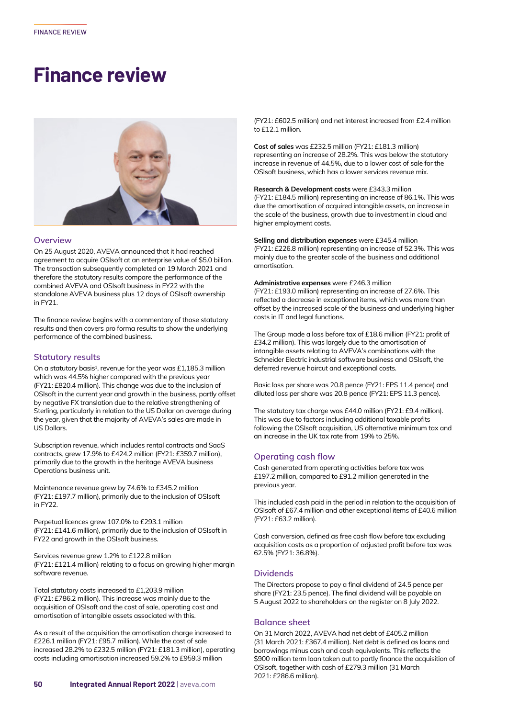# **Finance review**



#### **Overview**

On 25 August 2020, AVEVA announced that it had reached agreement to acquire OSIsoft at an enterprise value of \$5.0 billion. The transaction subsequently completed on 19 March 2021 and therefore the statutory results compare the performance of the combined AVEVA and OSIsoft business in FY22 with the standalone AVEVA business plus 12 days of OSIsoft ownership in FY21.

The finance review begins with a commentary of those statutory results and then covers pro forma results to show the underlying performance of the combined business.

#### **Statutory results**

On a statutory basis<sup>1</sup>, revenue for the year was  $£1,185.3$  million which was 44.5% higher compared with the previous year (FY21: £820.4 million). This change was due to the inclusion of OSIsoft in the current year and growth in the business, partly offset by negative FX translation due to the relative strengthening of Sterling, particularly in relation to the US Dollar on average during the year, given that the majority of AVEVA's sales are made in US Dollars.

Subscription revenue, which includes rental contracts and SaaS contracts, grew 17.9% to £424.2 million (FY21: £359.7 million), primarily due to the growth in the heritage AVEVA business Operations business unit.

Maintenance revenue grew by 74.6% to £345.2 million (FY21: £197.7 million), primarily due to the inclusion of OSIsoft in FY22.

Perpetual licences grew 107.0% to £293.1 million (FY21: £141.6 million), primarily due to the inclusion of OSIsoft in FY22 and growth in the OSIsoft business.

Services revenue grew 1.2% to £122.8 million (FY21: £121.4 million) relating to a focus on growing higher margin software revenue.

Total statutory costs increased to £1,203.9 million (FY21: £786.2 million). This increase was mainly due to the acquisition of OSIsoft and the cost of sale, operating cost and amortisation of intangible assets associated with this.

As a result of the acquisition the amortisation charge increased to £226.1 million (FY21: £95.7 million). While the cost of sale increased 28.2% to £232.5 million (FY21: £181.3 million), operating costs including amortisation increased 59.2% to £959.3 million

(FY21: £602.5 million) and net interest increased from £2.4 million to £12.1 million.

**Cost of sales** was £232.5 million (FY21: £181.3 million) representing an increase of 28.2%. This was below the statutory increase in revenue of 44.5%, due to a lower cost of sale for the OSIsoft business, which has a lower services revenue mix.

**Research & Development costs** were £343.3 million (FY21: £184.5 million) representing an increase of 86.1%. This was due the amortisation of acquired intangible assets, an increase in the scale of the business, growth due to investment in cloud and higher employment costs.

**Selling and distribution expenses** were £345.4 million (FY21: £226.8 million) representing an increase of 52.3%. This was mainly due to the greater scale of the business and additional amortisation.

#### **Administrative expenses** were £246.3 million

(FY21: £193.0 million) representing an increase of 27.6%. This reflected a decrease in exceptional items, which was more than offset by the increased scale of the business and underlying higher costs in IT and legal functions.

The Group made a loss before tax of £18.6 million (FY21: profit of £34.2 million). This was largely due to the amortisation of intangible assets relating to AVEVA's combinations with the Schneider Electric industrial software business and OSIsoft, the deferred revenue haircut and exceptional costs.

Basic loss per share was 20.8 pence (FY21: EPS 11.4 pence) and diluted loss per share was 20.8 pence (FY21: EPS 11.3 pence).

The statutory tax charge was £44.0 million (FY21: £9.4 million). This was due to factors including additional taxable profits following the OSIsoft acquisition, US alternative minimum tax and an increase in the UK tax rate from 19% to 25%.

### **Operating cash flow**

Cash generated from operating activities before tax was £197.2 million, compared to £91.2 million generated in the previous year.

This included cash paid in the period in relation to the acquisition of OSIsoft of £67.4 million and other exceptional items of £40.6 million (FY21: £63.2 million).

Cash conversion, defined as free cash flow before tax excluding acquisition costs as a proportion of adjusted profit before tax was 62.5% (FY21: 36.8%).

### **Dividends**

The Directors propose to pay a final dividend of 24.5 pence per share (FY21: 23.5 pence). The final dividend will be payable on 5 August 2022 to shareholders on the register on 8 July 2022.

## **Balance sheet**

On 31 March 2022, AVEVA had net debt of £405.2 million (31 March 2021: £367.4 million). Net debt is defined as loans and borrowings minus cash and cash equivalents. This reflects the \$900 million term loan taken out to partly finance the acquisition of OSIsoft, together with cash of £279.3 million (31 March 2021: £286.6 million).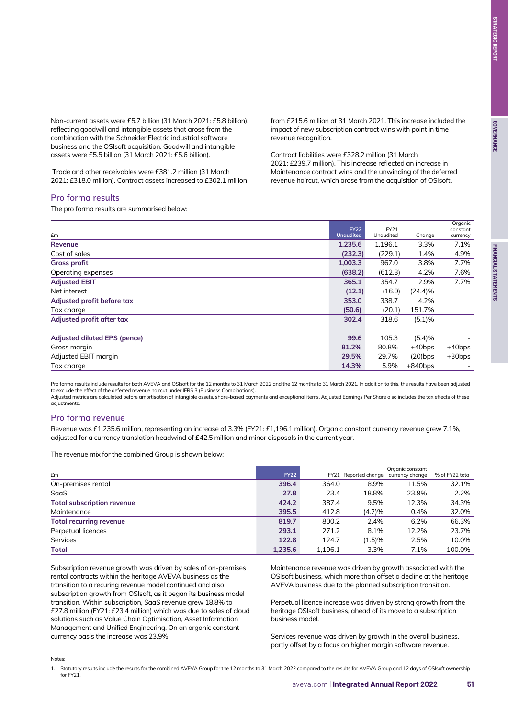Non-current assets were £5.7 billion (31 March 2021: £5.8 billion), reflecting goodwill and intangible assets that arose from the combination with the Schneider Electric industrial software business and the OSIsoft acquisition. Goodwill and intangible assets were £5.5 billion (31 March 2021: £5.6 billion).

 Trade and other receivables were £381.2 million (31 March 2021: £318.0 million). Contract assets increased to £302.1 million

## **Pro forma results**

The pro forma results are summarised below:

from £215.6 million at 31 March 2021. This increase included the impact of new subscription contract wins with point in time revenue recognition.

Contract liabilities were £328.2 million (31 March 2021: £239.7 million). This increase reflected an increase in Maintenance contract wins and the unwinding of the deferred revenue haircut, which arose from the acquisition of OSIsoft.

| £m                           | <b>FY22</b><br><b>Unaudited</b> | FY21<br>Unaudited | Change     | Organic<br>constant<br>currency |
|------------------------------|---------------------------------|-------------------|------------|---------------------------------|
| <b>Revenue</b>               | 1,235.6                         | 1,196.1           | 3.3%       | 7.1%                            |
| Cost of sales                | (232.3)                         | (229.1)           | 1.4%       | 4.9%                            |
| <b>Gross profit</b>          | 1,003.3                         | 967.0             | 3.8%       | 7.7%                            |
| Operating expenses           | (638.2)                         | (612.3)           | 4.2%       | 7.6%                            |
| <b>Adjusted EBIT</b>         | 365.1                           | 354.7             | 2.9%       | 7.7%                            |
| Net interest                 | (12.1)                          | (16.0)            | (24.4)%    |                                 |
| Adjusted profit before tax   | 353.0                           | 338.7             | 4.2%       |                                 |
| Tax charge                   | (50.6)                          | (20.1)            | 151.7%     |                                 |
| Adjusted profit after tax    | 302.4                           | 318.6             | (5.1)%     |                                 |
| Adjusted diluted EPS (pence) | 99.6                            | 105.3             | (5.4)%     |                                 |
| Gross margin                 | 81.2%                           | 80.8%             | $+40$ bps  | $+40$ bps                       |
| Adjusted EBIT margin         | 29.5%                           | 29.7%             | $(20)$ bps | $+30bps$                        |
| Tax charge                   | 14.3%                           | 5.9%              | $+840$ bps |                                 |

Pro forma results include results for both AVEVA and OSIsoft for the 12 months to 31 March 2022 and the 12 months to 31 March 2021. In addition to this, the results have been adjusted to exclude the effect of the deferred revenue haircut under IFRS 3 (Business Combinations).

Adjusted metrics are calculated before amortisation of intangible assets, share-based payments and exceptional items. Adjusted Earnings Per Share also includes the tax effects of these adjustments.

### **Pro forma revenue**

Revenue was £1,235.6 million, representing an increase of 3.3% (FY21: £1,196.1 million). Organic constant currency revenue grew 7.1%, adjusted for a currency translation headwind of £42.5 million and minor disposals in the current year.

The revenue mix for the combined Group is shown below:

|                                   |             |         |                                      | Organic constant |                 |
|-----------------------------------|-------------|---------|--------------------------------------|------------------|-----------------|
| £m                                | <b>FY22</b> |         | FY21 Reported change currency change |                  | % of FY22 total |
| On-premises rental                | 396.4       | 364.0   | 8.9%                                 | 11.5%            | 32.1%           |
| SaaS                              | 27.8        | 23.4    | 18.8%                                | 23.9%            | 2.2%            |
| <b>Total subscription revenue</b> | 424.2       | 387.4   | 9.5%                                 | 12.3%            | 34.3%           |
| Maintenance                       | 395.5       | 412.8   | (4.2)%                               | 0.4%             | 32.0%           |
| <b>Total recurring revenue</b>    | 819.7       | 800.2   | 2.4%                                 | 6.2%             | 66.3%           |
| Perpetual licences                | 293.1       | 271.2   | 8.1%                                 | 12.2%            | 23.7%           |
| <b>Services</b>                   | 122.8       | 124.7   | (1.5)%                               | 2.5%             | 10.0%           |
| <b>Total</b>                      | 1.235.6     | 1.196.1 | 3.3%                                 | 7.1%             | 100.0%          |

Subscription revenue growth was driven by sales of on-premises rental contracts within the heritage AVEVA business as the transition to a recuring revenue model continued and also subscription growth from OSIsoft, as it began its business model transition. Within subscription, SaaS revenue grew 18.8% to £27.8 million (FY21: £23.4 million) which was due to sales of cloud solutions such as Value Chain Optimisation, Asset Information Management and Unified Engineering. On an organic constant currency basis the increase was 23.9%.

Maintenance revenue was driven by growth associated with the OSIsoft business, which more than offset a decline at the heritage AVEVA business due to the planned subscription transition.

Perpetual licence increase was driven by strong growth from the heritage OSIsoft business, ahead of its move to a subscription business model.

Services revenue was driven by growth in the overall business, partly offset by a focus on higher margin software revenue.

Notes:

1. Statutory results include the results for the combined AVEVA Group for the 12 months to 31 March 2022 compared to the results for AVEVA Group and 12 days of OSIsoft ownership for FY21.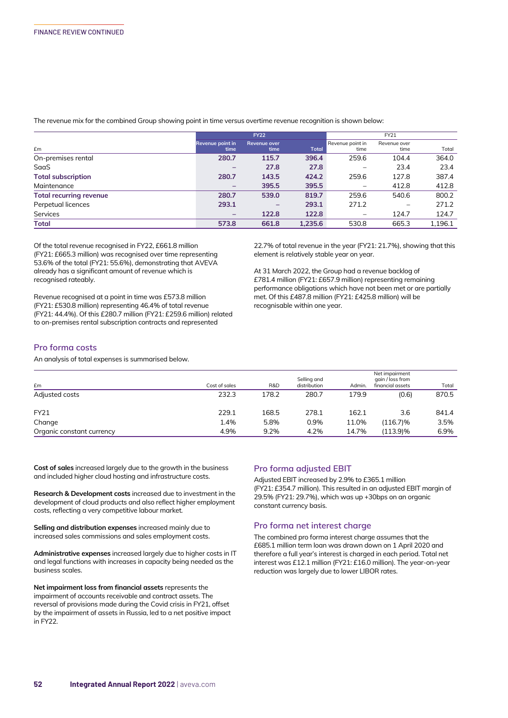The revenue mix for the combined Group showing point in time versus overtime revenue recognition is shown below:

|                                | <b>FY22</b>              |                          |              | FY21                     |                      |         |  |
|--------------------------------|--------------------------|--------------------------|--------------|--------------------------|----------------------|---------|--|
| £m                             | Revenue point in<br>time | Revenue over<br>time     | <b>Total</b> | Revenue point in<br>time | Revenue over<br>time | Total   |  |
| On-premises rental             | 280.7                    | 115.7                    | 396.4        | 259.6                    | 104.4                | 364.0   |  |
| SaaS                           | $\overline{\phantom{0}}$ | 27.8                     | 27.8         |                          | 23.4                 | 23.4    |  |
| <b>Total subscription</b>      | 280.7                    | 143.5                    | 424.2        | 259.6                    | 127.8                | 387.4   |  |
| Maintenance                    | -                        | 395.5                    | 395.5        | $\qquad \qquad -$        | 412.8                | 412.8   |  |
| <b>Total recurring revenue</b> | 280.7                    | 539.0                    | 819.7        | 259.6                    | 540.6                | 800.2   |  |
| Perpetual licences             | 293.1                    | $\overline{\phantom{0}}$ | 293.1        | 271.2                    |                      | 271.2   |  |
| Services                       | -                        | 122.8                    | 122.8        | $\qquad \qquad -$        | 124.7                | 124.7   |  |
| <b>Total</b>                   | 573.8                    | 661.8                    | 1,235.6      | 530.8                    | 665.3                | 1,196.1 |  |

Of the total revenue recognised in FY22, £661.8 million (FY21: £665.3 million) was recognised over time representing 53.6% of the total (FY21: 55.6%), demonstrating that AVEVA already has a significant amount of revenue which is recognised rateably.

Revenue recognised at a point in time was £573.8 million (FY21: £530.8 million) representing 46.4% of total revenue (FY21: 44.4%). Of this £280.7 million (FY21: £259.6 million) related to on-premises rental subscription contracts and represented

22.7% of total revenue in the year (FY21: 21.7%), showing that this element is relatively stable year on year.

At 31 March 2022, the Group had a revenue backlog of £781.4 million (FY21: £657.9 million) representing remaining performance obligations which have not been met or are partially met. Of this £487.8 million (FY21: £425.8 million) will be recognisable within one year.

#### **Pro forma costs**

An analysis of total expenses is summarised below.

| £m                        | Cost of sales | R&D   | Selling and<br>distribution | Admin. | Net impairment<br>gain / loss from<br>financial assets | Total |
|---------------------------|---------------|-------|-----------------------------|--------|--------------------------------------------------------|-------|
| Adjusted costs            | 232.3         | 178.2 | 280.7                       | 179.9  | (0.6)                                                  | 870.5 |
| <b>FY21</b>               | 229.1         | 168.5 | 278.1                       | 162.1  | 3.6                                                    | 841.4 |
| Change                    | 1.4%          | 5.8%  | 0.9%                        | 11.0%  | $(116.7)\%$                                            | 3.5%  |
| Organic constant currency | 4.9%          | 9.2%  | 4.2%                        | 14.7%  | (113.9)%                                               | 6.9%  |

**Cost of sales** increased largely due to the growth in the business and included higher cloud hosting and infrastructure costs.

**Research & Development costs** increased due to investment in the development of cloud products and also reflect higher employment costs, reflecting a very competitive labour market.

**Selling and distribution expenses** increased mainly due to increased sales commissions and sales employment costs.

**Administrative expenses** increased largely due to higher costs in IT and legal functions with increases in capacity being needed as the business scales.

**Net impairment loss from financial assets** represents the impairment of accounts receivable and contract assets. The reversal of provisions made during the Covid crisis in FY21, offset by the impairment of assets in Russia, led to a net positive impact in FY22.

### **Pro forma adjusted EBIT**

Adjusted EBIT increased by 2.9% to £365.1 million (FY21: £354.7 million). This resulted in an adjusted EBIT margin of 29.5% (FY21: 29.7%), which was up +30bps on an organic constant currency basis.

### **Pro forma net interest charge**

The combined pro forma interest charge assumes that the £685.1 million term loan was drawn down on 1 April 2020 and therefore a full year's interest is charged in each period. Total net interest was £12.1 million (FY21: £16.0 million). The year-on-year reduction was largely due to lower LIBOR rates.